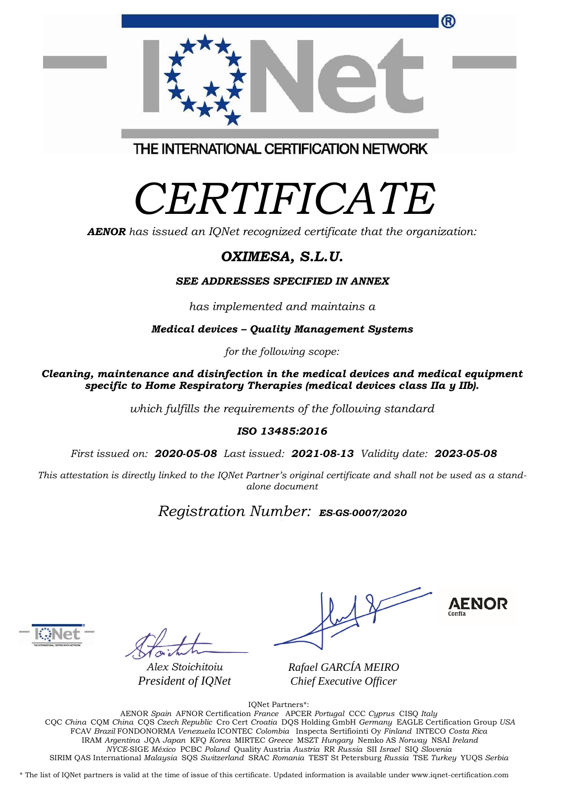|                                         | ® |
|-----------------------------------------|---|
| THE INTERNATIONAL CERTIFICATION NETWORK |   |

# *CERTIFICATE*

*AENOR has issued an IQNet recognized certificate that the organization:*

## *OXIMESA, S.L.U.*

#### *SEE ADDRESSES SPECIFIED IN ANNEX*

*has implemented and maintains a*

*Medical devices – Quality Management Systems*

*for the following scope:* 

*Cleaning, maintenance and disinfection in the medical devices and medical equipment specific to Home Respiratory Therapies (medical devices class IIa y IIb).*

*which fulfills the requirements of the following standard*

#### *ISO 13485:2016*

*First issued on: 2020-05-08 Last issued: 2021-08-13 Validity date: 2023-05-08*

This attestation is directly linked to the IQNet Partner's original certificate and shall not be used as a stand*alone document*

### *Registration Number: ES-GS-0007/2020*



*Alex Stoichitoiu President of IQNet*

**AENOR** 

*Rafael GARCÍA MEIRO Chief Executive Officer*

IQNet Partners\*:

AENOR *Spain* AFNOR Certification *France* APCER *Portugal* CCC *Cyprus* CISQ *Italy* CQC *China* CQM *China* CQS *Czech Republic* Cro Cert *Croatia* DQS Holding GmbH *Germany* EAGLE Certification Group *USA* FCAV *Brazil* FONDONORMA *Venezuela* ICONTEC *Colombia* Inspecta Sertifiointi Oy *Finland* INTECO *Costa Rica* IRAM *Argentina* JQA *Japan* KFQ *Korea* MIRTEC *Greece* MSZT *Hungary* Nemko AS *Norway* NSAI *Ireland NYCE-*SIGE *México* PCBC *Poland* Quality Austria *Austria* RR *Russia* SII *Israel* SIQ *Slovenia*  SIRIM QAS International *Malaysia* SQS *Switzerland* SRAC *Romania* TEST St Petersburg *Russia* TSE *Turkey* YUQS *Serbia*

\* The list of IQNet partners is valid at the time of issue of this certificate. Updated information is available under www.iqnet-certification.com